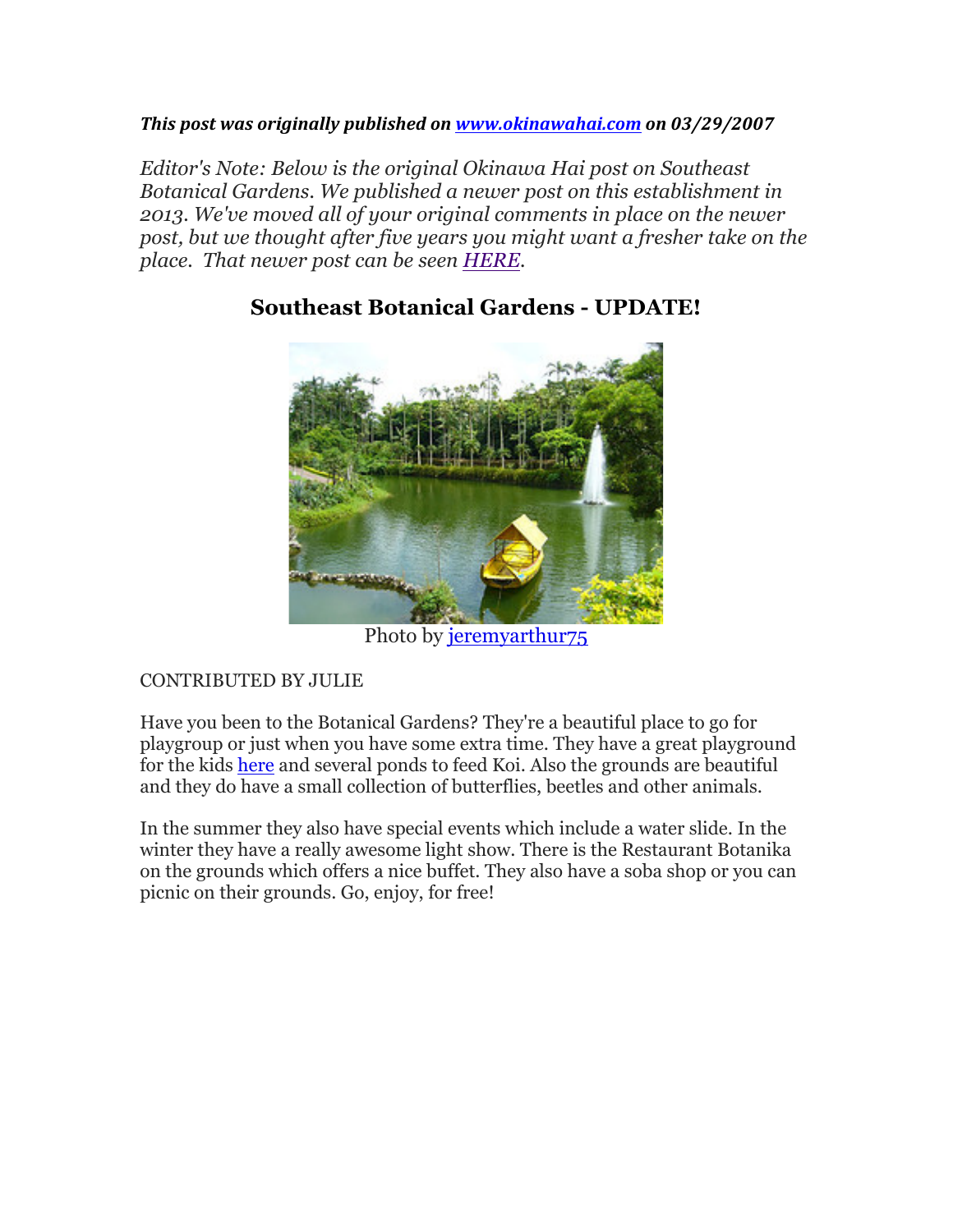#### *This post was originally published on www.okinawahai.com on 03/29/2007*

*Editor's Note: Below is the original Okinawa Hai post on Southeast Botanical Gardens. We published a newer post on this establishment in 2013. We've moved all of your original comments in place on the newer post, but we thought after five years you might want a fresher take on the place. That newer post can be seen HERE.*



### **Southeast Botanical Gardens - UPDATE!**

Photo by jeremyarthur<sub>75</sub>

### CONTRIBUTED BY JULIE

Have you been to the Botanical Gardens? They're a beautiful place to go for playgroup or just when you have some extra time. They have a great playground for the kids here and several ponds to feed Koi. Also the grounds are beautiful and they do have a small collection of butterflies, beetles and other animals.

In the summer they also have special events which include a water slide. In the winter they have a really awesome light show. There is the Restaurant Botanika on the grounds which offers a nice buffet. They also have a soba shop or you can picnic on their grounds. Go, enjoy, for free!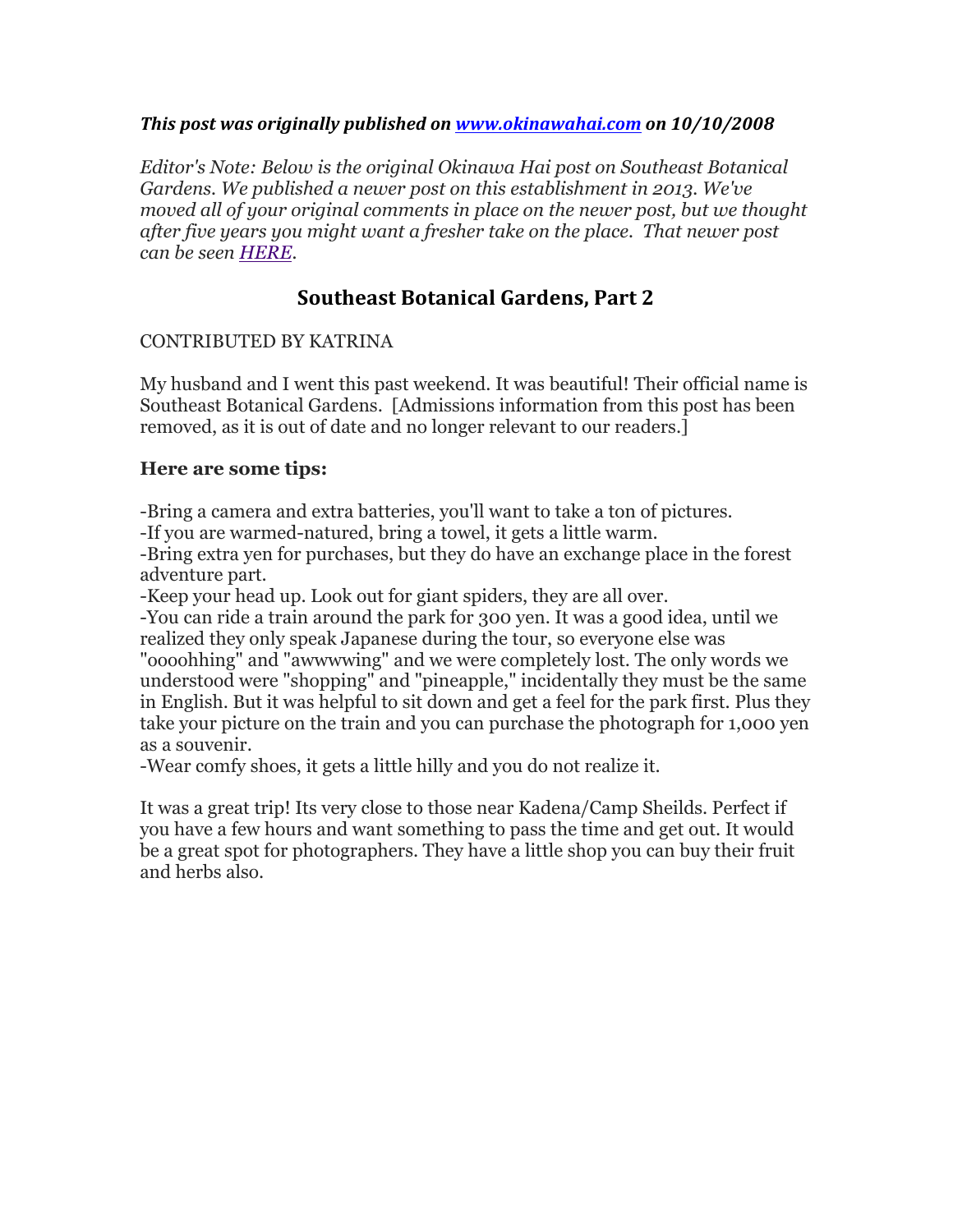#### *This post was originally published on www.okinawahai.com on 10/10/2008*

*Editor's Note: Below is the original Okinawa Hai post on Southeast Botanical Gardens. We published a newer post on this establishment in 2013. We've moved all of your original comments in place on the newer post, but we thought after five years you might want a fresher take on the place. That newer post can be seen HERE.*

# **Southeast Botanical Gardens, Part 2**

#### CONTRIBUTED BY KATRINA

My husband and I went this past weekend. It was beautiful! Their official name is Southeast Botanical Gardens. [Admissions information from this post has been removed, as it is out of date and no longer relevant to our readers.]

#### **Here are some tips:**

-Bring a camera and extra batteries, you'll want to take a ton of pictures.

-If you are warmed-natured, bring a towel, it gets a little warm.

-Bring extra yen for purchases, but they do have an exchange place in the forest adventure part.

-Keep your head up. Look out for giant spiders, they are all over.

-You can ride a train around the park for 300 yen. It was a good idea, until we realized they only speak Japanese during the tour, so everyone else was "oooohhing" and "awwwwing" and we were completely lost. The only words we understood were "shopping" and "pineapple," incidentally they must be the same in English. But it was helpful to sit down and get a feel for the park first. Plus they take your picture on the train and you can purchase the photograph for 1,000 yen as a souvenir.

-Wear comfy shoes, it gets a little hilly and you do not realize it.

It was a great trip! Its very close to those near Kadena/Camp Sheilds. Perfect if you have a few hours and want something to pass the time and get out. It would be a great spot for photographers. They have a little shop you can buy their fruit and herbs also.